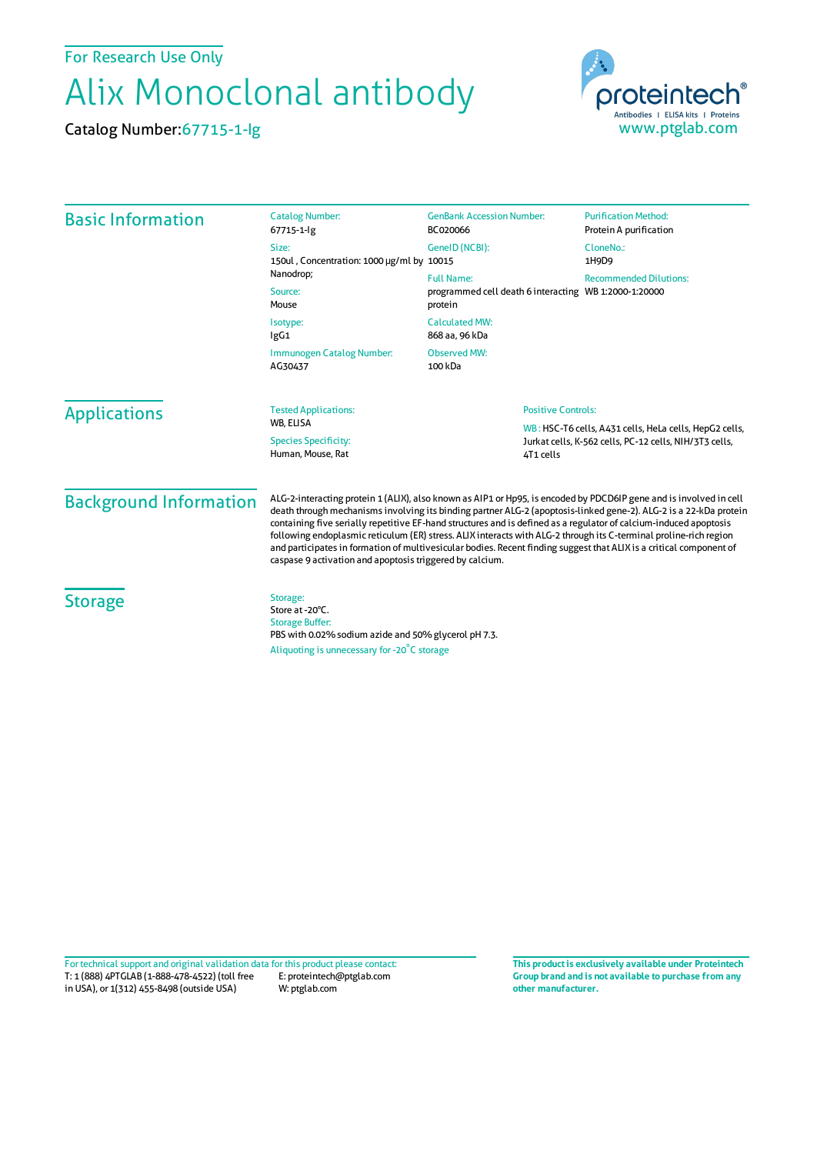For Research Use Only

## Alix Monoclonal antibody

Catalog Number:67715-1-Ig



| <b>Basic Information</b>      | <b>Catalog Number:</b><br>67715-1-lg                                                                                                                                                                                                                                                                                                                                                                                                                                                                                                                                                                                                                                 | <b>GenBank Accession Number:</b><br>BC020066                                          | <b>Purification Method:</b><br>Protein A purification                                                            |  |
|-------------------------------|----------------------------------------------------------------------------------------------------------------------------------------------------------------------------------------------------------------------------------------------------------------------------------------------------------------------------------------------------------------------------------------------------------------------------------------------------------------------------------------------------------------------------------------------------------------------------------------------------------------------------------------------------------------------|---------------------------------------------------------------------------------------|------------------------------------------------------------------------------------------------------------------|--|
|                               | Size:<br>150ul, Concentration: 1000 µg/ml by 10015<br>Nanodrop;<br>Source:<br>Mouse                                                                                                                                                                                                                                                                                                                                                                                                                                                                                                                                                                                  | GeneID (NCBI):                                                                        | CloneNo.:<br>1H9D9                                                                                               |  |
|                               |                                                                                                                                                                                                                                                                                                                                                                                                                                                                                                                                                                                                                                                                      | <b>Full Name:</b><br>programmed cell death 6 interacting WB 1:2000-1:20000<br>protein | <b>Recommended Dilutions:</b>                                                                                    |  |
|                               | Isotype:<br>lgG1                                                                                                                                                                                                                                                                                                                                                                                                                                                                                                                                                                                                                                                     | <b>Calculated MW:</b><br>868 aa, 96 kDa                                               |                                                                                                                  |  |
|                               | <b>Observed MW:</b><br>Immunogen Catalog Number:<br>AG30437<br>100 kDa                                                                                                                                                                                                                                                                                                                                                                                                                                                                                                                                                                                               |                                                                                       |                                                                                                                  |  |
| <b>Applications</b>           | <b>Tested Applications:</b><br><b>Positive Controls:</b><br><b>WB. ELISA</b>                                                                                                                                                                                                                                                                                                                                                                                                                                                                                                                                                                                         |                                                                                       |                                                                                                                  |  |
|                               | <b>Species Specificity:</b><br>Human, Mouse, Rat<br>4T1 cells                                                                                                                                                                                                                                                                                                                                                                                                                                                                                                                                                                                                        |                                                                                       | WB: HSC-T6 cells, A431 cells, HeLa cells, HepG2 cells,<br>Jurkat cells, K-562 cells, PC-12 cells, NIH/3T3 cells, |  |
| <b>Background Information</b> | ALG-2-interacting protein 1 (ALIX), also known as AIP1 or Hp95, is encoded by PDCD6IP gene and is involved in cell<br>death through mechanisms involving its binding partner ALG-2 (apoptosis-linked gene-2). ALG-2 is a 22-kDa protein<br>containing five serially repetitive EF-hand structures and is defined as a regulator of calcium-induced apoptosis<br>following endoplasmic reticulum (ER) stress. ALIX interacts with ALG-2 through its C-terminal proline-rich region<br>and participates in formation of multivesicular bodies. Recent finding suggest that ALIX is a critical component of<br>caspase 9 activation and apoptosis triggered by calcium. |                                                                                       |                                                                                                                  |  |
| <b>Storage</b>                | Storage:<br>Store at -20°C.<br><b>Storage Buffer:</b><br>PBS with 0.02% sodium azide and 50% glycerol pH 7.3.<br>Aliquoting is unnecessary for -20°C storage                                                                                                                                                                                                                                                                                                                                                                                                                                                                                                         |                                                                                       |                                                                                                                  |  |

T: 1 (888) 4PTGLAB (1-888-478-4522) (toll free in USA), or 1(312) 455-8498 (outside USA) E: proteintech@ptglab.com W: ptglab.com Fortechnical support and original validation data forthis product please contact: **This productis exclusively available under Proteintech**

**Group brand and is not available to purchase from any other manufacturer.**